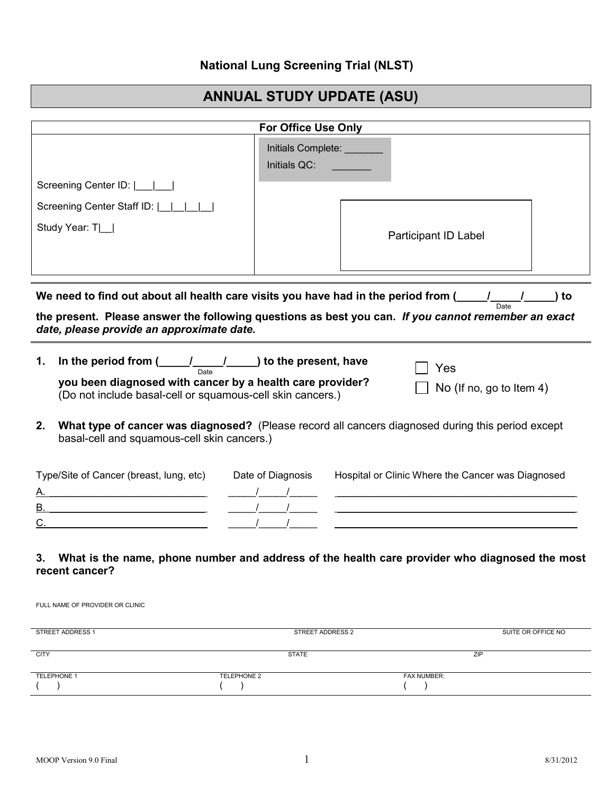## **National Lung Screening Trial (NLST)**

## **ANNUAL STUDY UPDATE (ASU)**

|                                                                                                                                                                                                                                                                                                                   | For Office Use Only                                                                                                                                                                                                                                                                                                                      |  |  |
|-------------------------------------------------------------------------------------------------------------------------------------------------------------------------------------------------------------------------------------------------------------------------------------------------------------------|------------------------------------------------------------------------------------------------------------------------------------------------------------------------------------------------------------------------------------------------------------------------------------------------------------------------------------------|--|--|
| Screening Center ID: [ <i>[111]</i><br>Screening Center Staff ID:        <br>Study Year: T _                                                                                                                                                                                                                      | Initials Complete: _______<br>Initials QC:<br>Participant ID Label                                                                                                                                                                                                                                                                       |  |  |
| We need to find out about all health care visits you have had in the period from ( $\frac{1}{\text{Date}}$ / $\frac{1}{\text{Date}}$ ) to<br>the present. Please answer the following questions as best you can. If you cannot remember an exact<br>date, please provide an approximate date.                     |                                                                                                                                                                                                                                                                                                                                          |  |  |
| In the period from $\underbrace{\hspace{1cm}}$ $\underbrace{\hspace{1cm}}$ $\underbrace{\hspace{1cm}}$ to the present, have<br>1.<br>you been diagnosed with cancer by a health care provider?<br>(Do not include basal-cell or squamous-cell skin cancers.)<br>2.<br>basal-cell and squamous-cell skin cancers.) | Yes<br>No (If no, go to Item 4)<br>What type of cancer was diagnosed? (Please record all cancers diagnosed during this period except                                                                                                                                                                                                     |  |  |
| Type/Site of Cancer (breast, lung, etc) Date of Diagnosis<br><u>B. ______________________________</u> _<br>3.                                                                                                                                                                                                     | Hospital or Clinic Where the Cancer was Diagnosed<br><u> 1989 - Johann Barbara, martin amerikan basar dan berasal dan berasal dalam basar dalam basar dalam basar dala</u><br><u> 1989 - John Stein, Amerikaansk politiker († 1908)</u><br>What is the name, phone number and address of the health care provider who diagnosed the most |  |  |

## **3. What is the name, phone number and address of the health care provider who diagnosed the most recent cancer?**

FULL NAME OF PROVIDER OR CLINIC

| STREET ADDRESS 2   | SUITE OR OFFICE NO |
|--------------------|--------------------|
|                    |                    |
| <b>STATE</b>       | ZIP                |
|                    |                    |
| <b>TELEPHONE 2</b> | <b>FAX NUMBER:</b> |
|                    |                    |
|                    |                    |